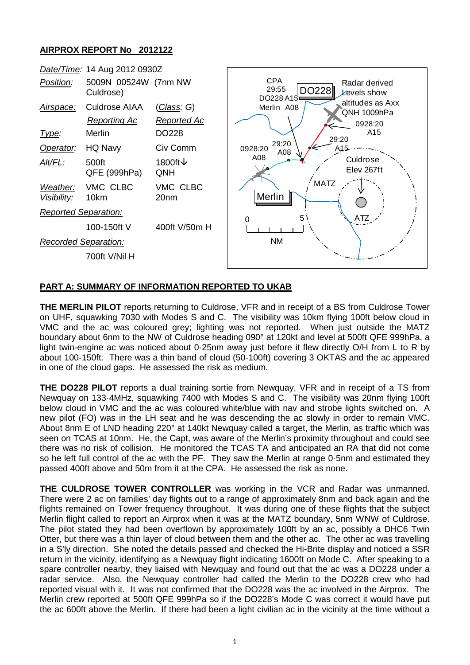## **AIRPROX REPORT No 2012122**



## **PART A: SUMMARY OF INFORMATION REPORTED TO UKAB**

**THE MERLIN PILOT** reports returning to Culdrose, VFR and in receipt of a BS from Culdrose Tower on UHF, squawking 7030 with Modes S and C. The visibility was 10km flying 100ft below cloud in VMC and the ac was coloured grey; lighting was not reported. When just outside the MATZ boundary about 6nm to the NW of Culdrose heading 090° at 120kt and level at 500ft QFE 999hPa, a light twin-engine ac was noticed about 0·25nm away just before it flew directly O/H from L to R by about 100-150ft. There was a thin band of cloud (50-100ft) covering 3 OKTAS and the ac appeared in one of the cloud gaps. He assessed the risk as medium.

**THE DO228 PILOT** reports a dual training sortie from Newquay, VFR and in receipt of a TS from Newquay on 133·4MHz, squawking 7400 with Modes S and C. The visibility was 20nm flying 100ft below cloud in VMC and the ac was coloured white/blue with nav and strobe lights switched on. A new pilot (FO) was in the LH seat and he was descending the ac slowly in order to remain VMC. About 8nm E of LND heading 220° at 140kt Newquay called a target, the Merlin, as traffic which was seen on TCAS at 10nm. He, the Capt, was aware of the Merlin's proximity throughout and could see there was no risk of collision. He monitored the TCAS TA and anticipated an RA that did not come so he left full control of the ac with the PF. They saw the Merlin at range 0·5nm and estimated they passed 400ft above and 50m from it at the CPA. He assessed the risk as none.

**THE CULDROSE TOWER CONTROLLER** was working in the VCR and Radar was unmanned. There were 2 ac on families' day flights out to a range of approximately 8nm and back again and the flights remained on Tower frequency throughout. It was during one of these flights that the subject Merlin flight called to report an Airprox when it was at the MATZ boundary, 5nm WNW of Culdrose. The pilot stated they had been overflown by approximately 100ft by an ac, possibly a DHC6 Twin Otter, but there was a thin layer of cloud between them and the other ac. The other ac was travelling in a S'ly direction. She noted the details passed and checked the Hi-Brite display and noticed a SSR return in the vicinity, identifying as a Newquay flight indicating 1600ft on Mode C. After speaking to a spare controller nearby, they liaised with Newquay and found out that the ac was a DO228 under a radar service. Also, the Newquay controller had called the Merlin to the DO228 crew who had reported visual with it. It was not confirmed that the DO228 was the ac involved in the Airprox. The Merlin crew reported at 500ft QFE 999hPa so if the DO228's Mode C was correct it would have put the ac 600ft above the Merlin. If there had been a light civilian ac in the vicinity at the time without a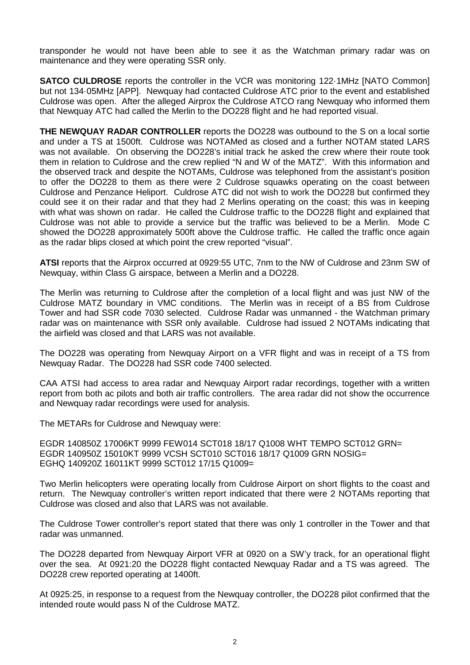transponder he would not have been able to see it as the Watchman primary radar was on maintenance and they were operating SSR only.

**SATCO CULDROSE** reports the controller in the VCR was monitoring 122-1MHz [NATO Common] but not 134·05MHz [APP]. Newquay had contacted Culdrose ATC prior to the event and established Culdrose was open. After the alleged Airprox the Culdrose ATCO rang Newquay who informed them that Newquay ATC had called the Merlin to the DO228 flight and he had reported visual.

**THE NEWQUAY RADAR CONTROLLER** reports the DO228 was outbound to the S on a local sortie and under a TS at 1500ft. Culdrose was NOTAMed as closed and a further NOTAM stated LARS was not available. On observing the DO228's initial track he asked the crew where their route took them in relation to Culdrose and the crew replied "N and W of the MATZ". With this information and the observed track and despite the NOTAMs, Culdrose was telephoned from the assistant's position to offer the DO228 to them as there were 2 Culdrose squawks operating on the coast between Culdrose and Penzance Heliport. Culdrose ATC did not wish to work the DO228 but confirmed they could see it on their radar and that they had 2 Merlins operating on the coast; this was in keeping with what was shown on radar. He called the Culdrose traffic to the DO228 flight and explained that Culdrose was not able to provide a service but the traffic was believed to be a Merlin. Mode C showed the DO228 approximately 500ft above the Culdrose traffic. He called the traffic once again as the radar blips closed at which point the crew reported "visual".

**ATSI** reports that the Airprox occurred at 0929:55 UTC, 7nm to the NW of Culdrose and 23nm SW of Newquay, within Class G airspace, between a Merlin and a DO228.

The Merlin was returning to Culdrose after the completion of a local flight and was just NW of the Culdrose MATZ boundary in VMC conditions. The Merlin was in receipt of a BS from Culdrose Tower and had SSR code 7030 selected. Culdrose Radar was unmanned - the Watchman primary radar was on maintenance with SSR only available. Culdrose had issued 2 NOTAMs indicating that the airfield was closed and that LARS was not available.

The DO228 was operating from Newquay Airport on a VFR flight and was in receipt of a TS from Newquay Radar. The DO228 had SSR code 7400 selected.

CAA ATSI had access to area radar and Newquay Airport radar recordings, together with a written report from both ac pilots and both air traffic controllers. The area radar did not show the occurrence and Newquay radar recordings were used for analysis.

The METARs for Culdrose and Newquay were:

EGDR 140850Z 17006KT 9999 FEW014 SCT018 18/17 Q1008 WHT TEMPO SCT012 GRN= EGDR 140950Z 15010KT 9999 VCSH SCT010 SCT016 18/17 Q1009 GRN NOSIG= EGHQ 140920Z 16011KT 9999 SCT012 17/15 Q1009=

Two Merlin helicopters were operating locally from Culdrose Airport on short flights to the coast and return. The Newquay controller's written report indicated that there were 2 NOTAMs reporting that Culdrose was closed and also that LARS was not available.

The Culdrose Tower controller's report stated that there was only 1 controller in the Tower and that radar was unmanned.

The DO228 departed from Newquay Airport VFR at 0920 on a SW'y track, for an operational flight over the sea. At 0921:20 the DO228 flight contacted Newquay Radar and a TS was agreed. The DO228 crew reported operating at 1400ft.

At 0925:25, in response to a request from the Newquay controller, the DO228 pilot confirmed that the intended route would pass N of the Culdrose MATZ.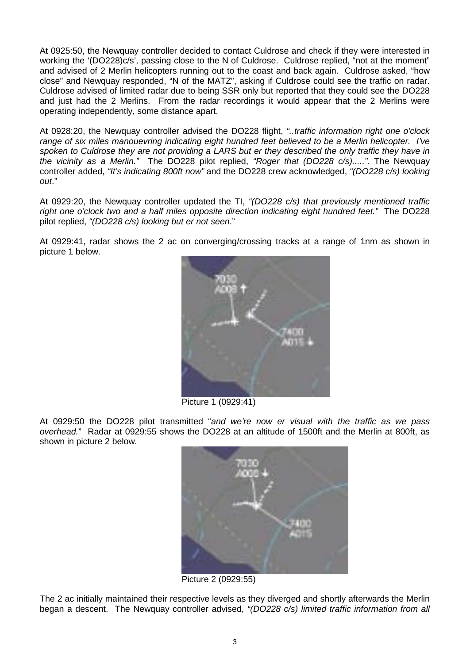At 0925:50, the Newquay controller decided to contact Culdrose and check if they were interested in working the '(DO228)c/s', passing close to the N of Culdrose. Culdrose replied, "not at the moment" and advised of 2 Merlin helicopters running out to the coast and back again. Culdrose asked, "how close" and Newquay responded, "N of the MATZ", asking if Culdrose could see the traffic on radar. Culdrose advised of limited radar due to being SSR only but reported that they could see the DO228 and just had the 2 Merlins. From the radar recordings it would appear that the 2 Merlins were operating independently, some distance apart.

At 0928:20, the Newquay controller advised the DO228 flight, *"..traffic information right one o'clock range of six miles manouevring indicating eight hundred feet believed to be a Merlin helicopter. I've spoken to Culdrose they are not providing a LARS but er they described the only traffic they have in the vicinity as a Merlin."* The DO228 pilot replied, *"Roger that (DO228 c/s).....".* The Newquay controller added, *"It's indicating 800ft now"* and the DO228 crew acknowledged, *"(DO228 c/s) looking out*."

At 0929:20, the Newquay controller updated the TI, *"(DO228 c/s) that previously mentioned traffic right one o'clock two and a half miles opposite direction indicating eight hundred feet."* The DO228 pilot replied, *"(DO228 c/s) looking but er not seen*."

At 0929:41, radar shows the 2 ac on converging/crossing tracks at a range of 1nm as shown in picture 1 below.



Picture 1 (0929:41)

At 0929:50 the DO228 pilot transmitted "*and we're now er visual with the traffic as we pass overhead.*" Radar at 0929:55 shows the DO228 at an altitude of 1500ft and the Merlin at 800ft, as shown in picture 2 below.



Picture 2 (0929:55)

The 2 ac initially maintained their respective levels as they diverged and shortly afterwards the Merlin began a descent. The Newquay controller advised, *"(DO228 c/s) limited traffic information from all*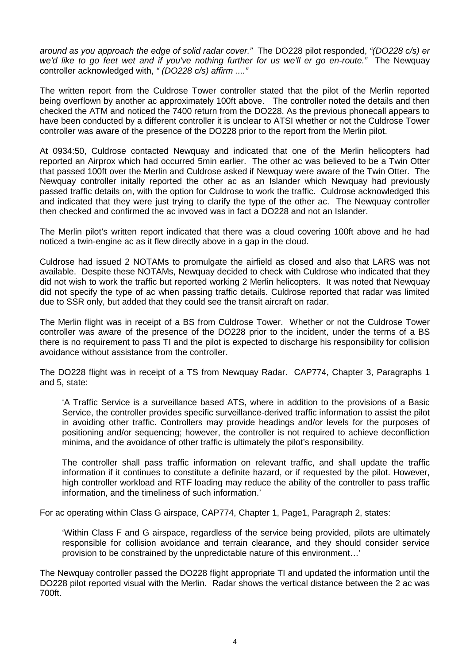*around as you approach the edge of solid radar cover."* The DO228 pilot responded, *"(DO228 c/s) er we'd like to go feet wet and if you've nothing further for us we'll er go en-route."* The Newquay controller acknowledged with, *" (DO228 c/s) affirm ...."*

The written report from the Culdrose Tower controller stated that the pilot of the Merlin reported being overflown by another ac approximately 100ft above. The controller noted the details and then checked the ATM and noticed the 7400 return from the DO228. As the previous phonecall appears to have been conducted by a different controller it is unclear to ATSI whether or not the Culdrose Tower controller was aware of the presence of the DO228 prior to the report from the Merlin pilot.

At 0934:50, Culdrose contacted Newquay and indicated that one of the Merlin helicopters had reported an Airprox which had occurred 5min earlier. The other ac was believed to be a Twin Otter that passed 100ft over the Merlin and Culdrose asked if Newquay were aware of the Twin Otter. The Newquay controller initally reported the other ac as an Islander which Newquay had previously passed traffic details on, with the option for Culdrose to work the traffic. Culdrose acknowledged this and indicated that they were just trying to clarify the type of the other ac. The Newquay controller then checked and confirmed the ac invoved was in fact a DO228 and not an Islander.

The Merlin pilot's written report indicated that there was a cloud covering 100ft above and he had noticed a twin-engine ac as it flew directly above in a gap in the cloud.

Culdrose had issued 2 NOTAMs to promulgate the airfield as closed and also that LARS was not available. Despite these NOTAMs, Newquay decided to check with Culdrose who indicated that they did not wish to work the traffic but reported working 2 Merlin helicopters. It was noted that Newquay did not specify the type of ac when passing traffic details. Culdrose reported that radar was limited due to SSR only, but added that they could see the transit aircraft on radar.

The Merlin flight was in receipt of a BS from Culdrose Tower. Whether or not the Culdrose Tower controller was aware of the presence of the DO228 prior to the incident, under the terms of a BS there is no requirement to pass TI and the pilot is expected to discharge his responsibility for collision avoidance without assistance from the controller.

The DO228 flight was in receipt of a TS from Newquay Radar. CAP774, Chapter 3, Paragraphs 1 and 5, state:

'A Traffic Service is a surveillance based ATS, where in addition to the provisions of a Basic Service, the controller provides specific surveillance-derived traffic information to assist the pilot in avoiding other traffic. Controllers may provide headings and/or levels for the purposes of positioning and/or sequencing; however, the controller is not required to achieve deconfliction minima, and the avoidance of other traffic is ultimately the pilot's responsibility.

The controller shall pass traffic information on relevant traffic, and shall update the traffic information if it continues to constitute a definite hazard, or if requested by the pilot. However, high controller workload and RTF loading may reduce the ability of the controller to pass traffic information, and the timeliness of such information.'

For ac operating within Class G airspace, CAP774, Chapter 1, Page1, Paragraph 2, states:

'Within Class F and G airspace, regardless of the service being provided, pilots are ultimately responsible for collision avoidance and terrain clearance, and they should consider service provision to be constrained by the unpredictable nature of this environment…'

The Newquay controller passed the DO228 flight appropriate TI and updated the information until the DO228 pilot reported visual with the Merlin. Radar shows the vertical distance between the 2 ac was 700ft.